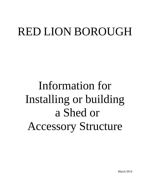# RED LION BOROUGH

Information for Installing or building a Shed or Accessory Structure

March 2014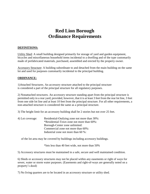# **Red Lion Borough Ordinance Requirements**

#### **DEFINITIONS:**

Utility Shed: A small building designed primarily for storage of yard and garden equipment, bicycles and miscellaneous household items incidental to a dwelling and of the type customarily made of prefabricated materials, purchased, assembled and erected by the property owner.

Accessory Structure: A building subordinate to and detached from the main building on the same lot and used for purposes customarily incidental to the principal building.

#### **ORDINANCE:**

1)Attached Structures. An accessory structure attached to the principal structure is considered a part of the principal structure for all regulatory purposes.

2) Nonattached structures. An accessory structure standing apart from the principal structure is permitted only in a rear yard; provided, however, that it is at least 3 feet from the rear lot line, 3 feet from one side lot line and at least 10 feet from the principal structure. For all other requirements, a non-attached structure is considered the same as a principal structure.

3) The height limit for an accessory building shall be 2 stories but not over 25 feet.

4) Lot coverage: Residential-Outlying zone not more than 30%: \*Residential-Town zone not more than 60%: Borough-Center zone unlimited: Commercial zone not more than 60%: Industrial zone not more than 60 %:

of the lot area may be covered by buildings including accessory buildings.

\*lots less than 40 feet wide, not more than 50%

5) Accessory structures must be maintained in a safe, secure and well maintained condition.

6) Sheds or accessory structures may not be placed within any easements or right of ways for sewer, water or storm water purposes. (Easements and right-of-ways are generally noted on a property's deed)

7) No living quarters are to be located in an accessory structure or utility shed.